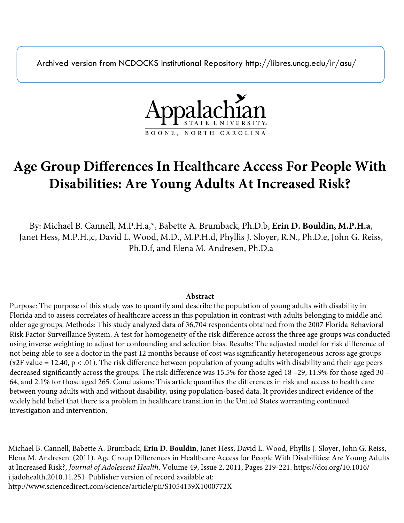Archived version from NCDOCKS Institutional Repository http://libres.uncg.edu/ir/asu/



# **Age Group Differences In Healthcare Access For People With Disabilities: Are Young Adults At Increased Risk?**

By: Michael B. Cannell, M.P.H.a,\*, Babette A. Brumback, Ph.D.b, **Erin D. Bouldin, M.P.H.a**, Janet Hess, M.P.H.,c, David L. Wood, M.D., M.P.H.d, Phyllis J. Sloyer, R.N., Ph.D.e, John G. Reiss, Ph.D.f, and Elena M. Andresen, Ph.D.a

### **Abstract**

Purpose: The purpose of this study was to quantify and describe the population of young adults with disability in Florida and to assess correlates of healthcare access in this population in contrast with adults belonging to middle and older age groups. Methods: This study analyzed data of 36,704 respondents obtained from the 2007 Florida Behavioral Risk Factor Surveillance System. A test for homogeneity of the risk difference across the three age groups was conducted using inverse weighting to adjust for confounding and selection bias. Results: The adjusted model for risk difference of not being able to see a doctor in the past 12 months because of cost was significantly heterogeneous across age groups ( $x2F$  value = 12.40,  $p < 0.01$ ). The risk difference between population of young adults with disability and their age peers decreased significantly across the groups. The risk difference was 15.5% for those aged 18 –29, 11.9% for those aged 30 – 64, and 2.1% for those aged 265. Conclusions: This article quantifies the differences in risk and access to health care between young adults with and without disability, using population-based data. It provides indirect evidence of the widely held belief that there is a problem in healthcare transition in the United States warranting continued investigation and intervention.

Michael B. Cannell, Babette A. Brumback, **Erin D. Bouldin**, Janet Hess, David L. Wood, Phyllis J. Sloyer, John G. Reiss, Elena M. Andresen. (2011). Age Group Differences in Healthcare Access for People With Disabilities: Are Young Adults at Increased Risk?, *Journal of Adolescent Health*, Volume 49, Issue 2, 2011, Pages 219-221. https://doi.org/10.1016/ j.jadohealth.2010.11.251. Publisher version of record available at: http://www.sciencedirect.com/science/article/pii/S1054139X1000772X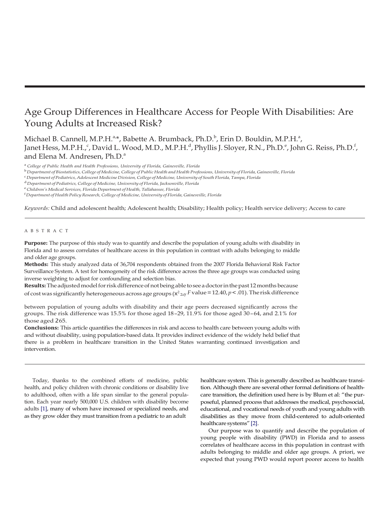## Age Group Differences in Healthcare Access for People With Disabilities: Are Young Adults at Increased Risk?

Michael B. Cannell, M.P.H.<sup>a,\*</sup>, Babette A. Brumback, Ph.D.<sup>b</sup>, Erin D. Bouldin, M.P.H.<sup>a</sup>, Janet Hess, M.P.H.,°, David L. Wood, M.D., M.P.H.<sup>d</sup>, Phyllis J. Sloyer, R.N., Ph.D.°, John G. Reiss, Ph.D.<sup>f</sup>, and Elena M. Andresen, Ph.D.<sup>a</sup>

<sup>a</sup>*College of Public Health and Health Professions, University of Florida, Gainesville, Florida*

<sup>b</sup> Department of Biostatistics, College of Medicine, College of Public Health and Health Professions, University of Florida, Gainesville, Florida

<sup>c</sup>*Department of Pediatrics, Adolescent MedicineDivision,College ofMedicine,University of South Florida,Tampa, Florida*

<sup>d</sup>*Department of Pediatrics,College of Medicine, University of Florida,Jacksonville, Florida*

<sup>e</sup>*Children's Medical Services, Florida Department of Health, Tallahassee, Florida*

<sup>f</sup>*Department of HealthPolicyResearch, College of Medicine, University of Florida, Gainesville, Florida*

*Keywords:* Child and adolescent health; Adolescent health; Disability; Health policy; Health service delivery; Access to care

#### A B S T R A C T

**Purpose:** The purpose of this study was to quantify and describe the population of young adults with disability in Florida and to assess correlates of healthcare access in this population in contrast with adults belonging to middle and older age groups.

**Methods:** This study analyzed data of 36,704 respondents obtained from the 2007 Florida Behavioral Risk Factor Surveillance System. A test for homogeneity of the risk difference across the three age groups was conducted using inverse weighting to adjust for confounding and selection bias.

of cost was significantly heterogeneous across age groups (x<sup>2</sup><sub>2df</sub> F value = 12.40, p < .01). The risk difference Results: The adjusted model for risk difference of not being able to see a doctor in the past 12 months because

between population of young adults with disability and their age peers decreased significantly across the groups. The risk difference was 15.5% for those aged 18 –29, 11.9% for those aged 30 – 64, and 2.1% for those aged 265.

**Conclusions:** This article quantifies the differences in risk and access to health care between young adults with and without disability, using population-based data. It provides indirect evidence of the widely held belief that there is a problem in healthcare transition in the United States warranting continued investigation and intervention.

Today, thanks to the combined efforts of medicine, public health, and policy children with chronic conditions or disability live to adulthood, often with a life span similar to the general population. Each year nearly 500,000 U.S. children with disability become adults [\[1\],](#page-4-0) many of whom have increased or specialized needs, and as they grow older they must transition from a pediatric to an adult

healthcare system. This is generally described as healthcare transition. Although there are several other formal definitions of healthcare transition, the definition used here is by Blum et al: "the purposeful, planned process that addresses the medical, psychosocial, educational, and vocational needs of youth and young adults with disabilities as they move from child-centered to adult-oriented healthcare systems["\[2\].](#page-4-1)

Our purpose was to quantify and describe the population of young people with disability (PWD) in Florida and to assess correlates of healthcare access in this population in contrast with adults belonging to middle and older age groups. A priori, we expected that young PWD would report poorer access to health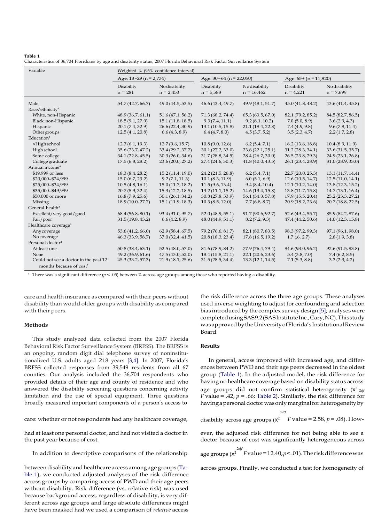#### <span id="page-2-0"></span>**Table 1**

Characteristics of 36,704 Floridians by age and disability status, 2007 Florida Behavioral Risk Factor Surveillance System

| Variable                                                                                                                                                                         | Weighted % (95% confidence interval) |                              |                           |                               |                           |                              |  |
|----------------------------------------------------------------------------------------------------------------------------------------------------------------------------------|--------------------------------------|------------------------------|---------------------------|-------------------------------|---------------------------|------------------------------|--|
|                                                                                                                                                                                  | Age: $18-29$ (n = 2,734)             |                              | Age: $30-64$ (n = 22,050) |                               | Age: $65+ (n = 11,920)$   |                              |  |
|                                                                                                                                                                                  | Disability<br>$n = 281$              | No disability<br>$n = 2,453$ | Disability<br>$n = 5,588$ | No disability<br>$n = 16,462$ | Disability<br>$n = 4,221$ | No disability<br>$n = 7,699$ |  |
| Male                                                                                                                                                                             | 54.7 (42.7, 66.7)                    | 49.0 (44.5, 53.5)            | 46.6(43.4, 49.7)          | 49.9 (48.1, 51.7)             | 45.0(41.8, 48.2)          | 43.6(41.4, 45.8)             |  |
| Race/ethnicity <sup>a</sup>                                                                                                                                                      |                                      |                              |                           |                               |                           |                              |  |
| White, non-Hispanic                                                                                                                                                              | 48.9(36.7, 61.1)                     | 51.6 (47.1, 56.2)            | 71.3 (68.2, 74.4)         | 65.3(63.5, 67.0)              | 82.1 (79.2, 85.2)         | 84.5 (82.7, 86.5)            |  |
| Black, non-Hispanic                                                                                                                                                              | 18.5(9.1, 27.9)                      | 15.1(11.8, 18.5)             | 9.3(7.4, 11.1)            | 9.2(8.1, 10.2)                | $7.0$ (5.0, 8.9)          | 3.6(2.9, 4.3)                |  |
| Hispanic                                                                                                                                                                         | 20.1 (7.4, 32.9)                     | 26.6 (22.4, 30.9)            | 13.1(10.5, 15.8)          | 21.1(19.4, 22.8)              | 7.4(4.9, 9.8)             | 9.6(7.8, 11.4)               |  |
| Other groups                                                                                                                                                                     | 12.5(4.1, 20.8)                      | 6.6(4.3, 8.9)                | 6.4(4.7, 8.0)             | 4.5(3.7, 5.2)                 | 3.5(2.3, 4.7)             | 2.2(1.7, 2.8)                |  |
| Education <sup>a</sup>                                                                                                                                                           |                                      |                              |                           |                               |                           |                              |  |
| <highschool< td=""><td>12.7(6.1, 19.3)</td><td>12.7(9.6, 15.7)</td><td>10.8(9.0, 12.6)</td><td>6.2(5.4, 7.1)</td><td>16.2(13.6, 18.8)</td><td>10.4(8.9, 11.9)</td></highschool<> | 12.7(6.1, 19.3)                      | 12.7(9.6, 15.7)              | 10.8(9.0, 12.6)           | 6.2(5.4, 7.1)                 | 16.2(13.6, 18.8)          | 10.4(8.9, 11.9)              |  |
| High school                                                                                                                                                                      | 35.6 (23.7, 47.2)                    | 33.4 (29.2, 37.7)            | 30.1(27.2, 33.0)          | 23.6(22.1, 25.1)              | 31.2(28.3, 34.1)          | 33.6 (31.5, 35.7)            |  |
| Some college                                                                                                                                                                     | 34.1 (22.8, 45.5)                    | 30.3(26.0, 34.6)             | 31.7(28.8, 34.5)          | 28.4 (26.7, 30.0)             | 26.5(23.8, 29.3)          | 24.9 (23.1, 26.8)            |  |
| College graduate                                                                                                                                                                 | 17.5(6.8, 28.2)                      | 23.6 (20.0, 27.2)            | 27.4 (24.6, 30.3)         | 41.8(40.0, 43.5)              | 26.1 (23.4, 28.9)         | 31.0(28.9, 33.0)             |  |
| Annual income <sup>a</sup>                                                                                                                                                       |                                      |                              |                           |                               |                           |                              |  |
| \$19,999 or less                                                                                                                                                                 | 18.3 (8.4, 28.2)                     | 15.2(11.4, 19.0)             | 24.2(21.5, 26.8)          | 6.2(5.4, 7.1)                 | 22.7(20.0, 25.3)          | 13.1(11.7, 14.4)             |  |
| \$20,000-\$24,999                                                                                                                                                                | 15.0(6.7, 23.2)                      | 9.2(7.1, 11.3)               | 10.1(8.3, 11.9)           | 6.0(5.1, 6.9)                 | 12.6(10.5, 14.7)          | 12.5(11.0, 14.1)             |  |
| \$25,000-\$34,999                                                                                                                                                                | 10.5(4.8, 16.1)                      | 15.0(11.7, 18.2)             | 11.5(9.6, 13.4)           | 9.4(8.4, 10.4)                | 12.1(10.2, 14.0)          | 13.8(12.3, 15.2)             |  |
| \$35,000-\$49,999                                                                                                                                                                | 20.7(8.9, 32.4)                      | 15.3(12.2, 18.5)             | 13.2(11.1, 15.2)          | 14.6 (13.4, 15.8)             | 13.8(11.7, 15.8)          | 14.7(13.1, 16.4)             |  |
| \$50,000 or more                                                                                                                                                                 | 16.8(7.9, 25.6)                      | 30.1(26.1, 34.2)             | 30.8(27.8, 33.9)          | 56.1 (54.3, 57.8)             | 17.9(15.5, 20.4)          | 25.2(23.3, 27.2)             |  |
| Missing                                                                                                                                                                          | 18.9 (10.0, 27.7)                    | 15.1(11.9, 18.3)             | 10.3(8.5, 12.0)           | 7.7(6.8, 8.7)                 | 20.9(18.2, 23.6)          | 20.7(18.8, 22.5)             |  |
| General health <sup>a</sup>                                                                                                                                                      |                                      |                              |                           |                               |                           |                              |  |
| Excellent/very good/good                                                                                                                                                         | 68.4(56.8, 80.1)                     | 93.4 (91.0, 95.7)            | 52.0(48.9, 55.1)          | 91.7 (90.6, 92.7)             | 52.6 (49.4, 55.7)         | 85.9 (84.2, 87.6)            |  |
| Fair/poor                                                                                                                                                                        | 31.5(19.8, 43.2)                     | 6.6(4.2, 8.9)                | 48.0(44.9, 51.1)          | 8.2(7.2, 9.3)                 | 47.4 (44.2, 50.6)         | 14.0(12.3, 15.8)             |  |
| Healthcare coverage <sup>a</sup>                                                                                                                                                 |                                      |                              |                           |                               |                           |                              |  |
| Any coverage                                                                                                                                                                     | 53.6 (41.2, 66.0)                    | 62.9(58.4, 67.5)             | 79.2 (76.6, 81.7)         | 82.1 (80.7, 83.5)             | 98.3 (97.2, 99.3)         | 97.1 (96.1, 98.0)            |  |
| No coverage                                                                                                                                                                      | 46.3 (33.9, 58.7)                    | 37.0 (32.4, 41.5)            | 20.8 (18.3, 23.4)         | 17.8(16.5, 19.2)              | 1.7(0.6, 2.7)             | 2.8(1.9, 3.8)                |  |
| Personal doctor <sup>a</sup>                                                                                                                                                     |                                      |                              |                           |                               |                           |                              |  |
| At least one                                                                                                                                                                     | 50.8 (38.4, 63.1)                    | 52.5 (48.0, 57.0)            | 81.6 (78.9, 84.2)         | 77.9 (76.4, 79.4)             | 94.6 (93.0, 96.2)         | 92.6 (91.5, 93.8)            |  |
| None                                                                                                                                                                             | 49.2 (36.9, 61.6)                    | 47.5 (43.0, 52.0)            | 18.4(15.8, 21.1)          | 22.1(20.6, 23.6)              | 5.4(3.8, 7.0)             | 7.4(6.2, 8.5)                |  |
| Could not see a doctor in the past 12                                                                                                                                            | 45.3 (33.2, 57.3)                    | 21.9(18.1, 25.6)             | 31.5(28.5, 34.4)          | 13.3(12.1, 14.5)              | 7.1(5.3, 8.8)             | 3.3(2.3, 4.2)                |  |
| months because of cost <sup>a</sup>                                                                                                                                              |                                      |                              |                           |                               |                           |                              |  |

<sup>a</sup> There was a significant difference ( $p < .05$ ) between % across age groups among those who reported having a disability.

care and health insurance as compared with their peers without disability than would older groups with disability as compared with their peers.

#### **Methods**

This study analyzed data collected from the 2007 Florida Behavioral Risk Factor Surveillance System (BRFSS). The BRFSS is an ongoing, random digit dial telephone survey of noninstitutionalized U.S. adults aged 218 years [\[3,4\].](#page-4-2) In 2007, Florida's BRFSS collected responses from 39,549 residents from all 67 counties. Our analysis included the 36,704 respondents who provided details of their age and county of residence and who answered the disability screening questions concerning activity limitation and the use of special equipment. Three questions broadly measured important components of a person's access to

care: whether or not respondents had any healthcare coverage, *disability* 

had at least one personal doctor, and had not visited a doctor in the past year because of cost.

between disability and healthcare access among age groups [\(Ta](#page-2-0)[ble](#page-2-0) 1), we conducted adjusted analyses of the risk difference across groups by comparing access of PWD and their age peers without disability. Risk difference (vs. relative risk) was used because background access, regardless of disability, is very different across age groups and large absolute differences might have been masked had we used a comparison of *relative* access

the risk difference across the three age groups. These analyses used inverse weighting to adjust for confounding and selection bias introduced by the complex survey design [\[5\];](#page-4-3) analyses were completedusingSAS9.2(SASInstituteInc.,Cary,NC).Thisstudy wasapprovedbytheUniversityofFlorida'sInstitutionalReview Board.

#### **Results**

age groups did not confirm statistical heterogeneity ( $x^2$ <sub>2df</sub> In general, access improved with increased age, and differences between PWD and their age peers decreased in the oldest group [\(Table](#page-2-0) 1). In the adjusted model, the risk difference for having no healthcare coverage based on disability status across *F* value = .42,  $p = .66$ ; [Table 2\)](#page-4-4). Similarly, the risk difference for having a personal doctor was only marginal for heterogeneity by

2*df*

ever, the adjusted risk difference for not being able to see a doctor because of cost was significantly heterogeneous across

In addition to descriptive comparisons of the relationship age groups (x<sup>2df</sup> Fvalue=12.40,p<.01).Theriskdifferencewas

across groups. Finally, we conducted a test for homogeneity of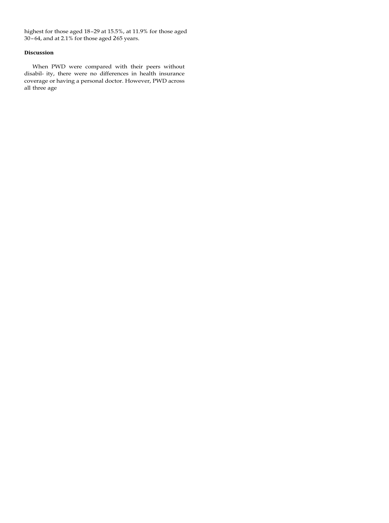highest for those aged 18–29 at 15.5%, at 11.9% for those aged 30–64, and at 2.1% for those aged 265 years.

#### **Discussion**

When PWD were compared with their peers without disabil- ity, there were no differences in health insurance coverage or having a personal doctor. However, PWD across all three age